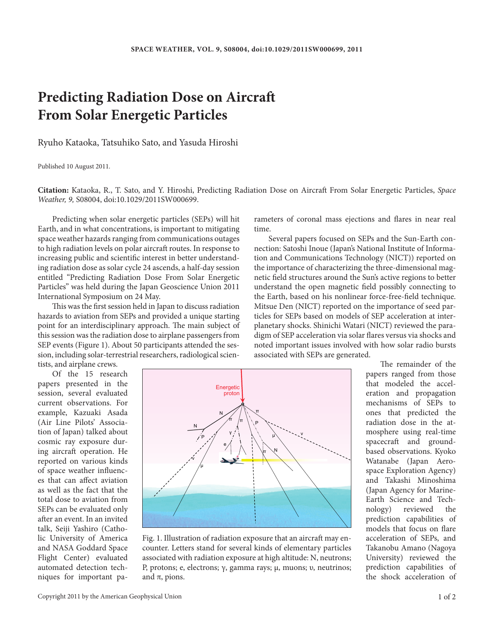## **Predicting Radiation Dose on Aircraft From Solar Energetic Particles**

Ryuho Kataoka, Tatsuhiko Sato, and Yasuda Hiroshi

Published 10 August 2011.

**Citation:** Kataoka, R., T. Sato, and Y. Hiroshi, Predicting Radiation Dose on Aircraft From Solar Energetic Particles, *Space Weather, 9,* S08004, doi:10.1029/2011SW000699.

Predicting when solar energetic particles (SEPs) will hit Earth, and in what concentrations, is important to mitigating space weather hazards ranging from communications outages to high radiation levels on polar aircraft routes. In response to increasing public and scientific interest in better understanding radiation dose as solar cycle 24 ascends, a half-day session entitled "Predicting Radiation Dose From Solar Energetic Particles" was held during the Japan Geoscience Union 2011 International Symposium on 24 May.

This was the first session held in Japan to discuss radiation hazards to aviation from SEPs and provided a unique starting point for an interdisciplinary approach. The main subject of this session was the radiation dose to airplane passengers from SEP events (Figure 1). About 50 participants attended the session, including solar-terrestrial researchers, radiological scien-

tists, and airplane crews.

Of the 15 research papers presented in the session, several evaluated current observations. For example, Kazuaki Asada (Air Line Pilots' Association of Japan) talked about cosmic ray exposure during aircraft operation. He reported on various kinds of space weather influences that can affect aviation as well as the fact that the total dose to aviation from SEPs can be evaluated only after an event. In an invited talk, Seiji Yashiro (Catholic University of America and NASA Goddard Space Flight Center) evaluated automated detection techniques for important pa-



Fig. 1. Illustration of radiation exposure that an aircraft may encounter. Letters stand for several kinds of elementary particles associated with radiation exposure at high altitude: N, neutrons; P, protons; e, electrons; γ, gamma rays; μ, muons; υ, neutrinos; and  $\pi$ , pions.

rameters of coronal mass ejections and flares in near real time.

Several papers focused on SEPs and the Sun-Earth connection: Satoshi Inoue (Japan's National Institute of Information and Communications Technology (NICT)) reported on the importance of characterizing the three-dimensional magnetic field structures around the Sun's active regions to better understand the open magnetic field possibly connecting to the Earth, based on his nonlinear force-free-field technique. Mitsue Den (NICT) reported on the importance of seed particles for SEPs based on models of SEP acceleration at interplanetary shocks. Shinichi Watari (NICT) reviewed the paradigm of SEP acceleration via solar flares versus via shocks and noted important issues involved with how solar radio bursts associated with SEPs are generated.

> The remainder of the papers ranged from those that modeled the acceleration and propagation mechanisms of SEPs to ones that predicted the radiation dose in the atmosphere using real-time spacecraft and groundbased observations. Kyoko Watanabe (Japan Aerospace Exploration Agency) and Takashi Minoshima (Japan Agency for Marine-Earth Science and Tech-<br>nology) reviewed the reviewed the prediction capabilities of models that focus on flare acceleration of SEPs, and Takanobu Amano (Nagoya University) reviewed the prediction capabilities of the shock acceleration of